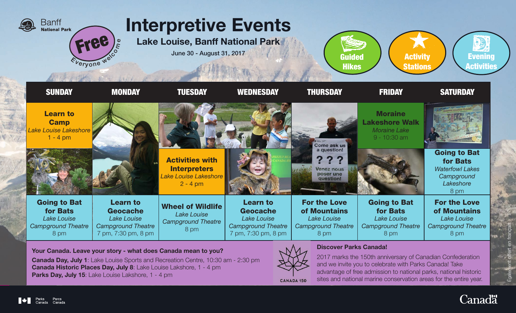

Your Canada. Leave your story - what does Canada mean to you?

Canada Day, July 1: Lake Louise Sports and Recreation Centre, 10:30 am - 2:30 pm Canada Historic Places Day, July 8: Lake Louise Lakshore, 1 - 4 pm Parks Day, July 15: Lake Louise Lakshore, 1 - 4 pm



**CANADA 150** 

## Discover Parks Canada!

2017 marks the 150th anniversary of Canadian Confederation and we invite you to celebrate with Parks Canada! Take advantage of free admission to national parks, national historic sites and national marine conservation areas for the entire year.



\_<br>नुहा<br>-